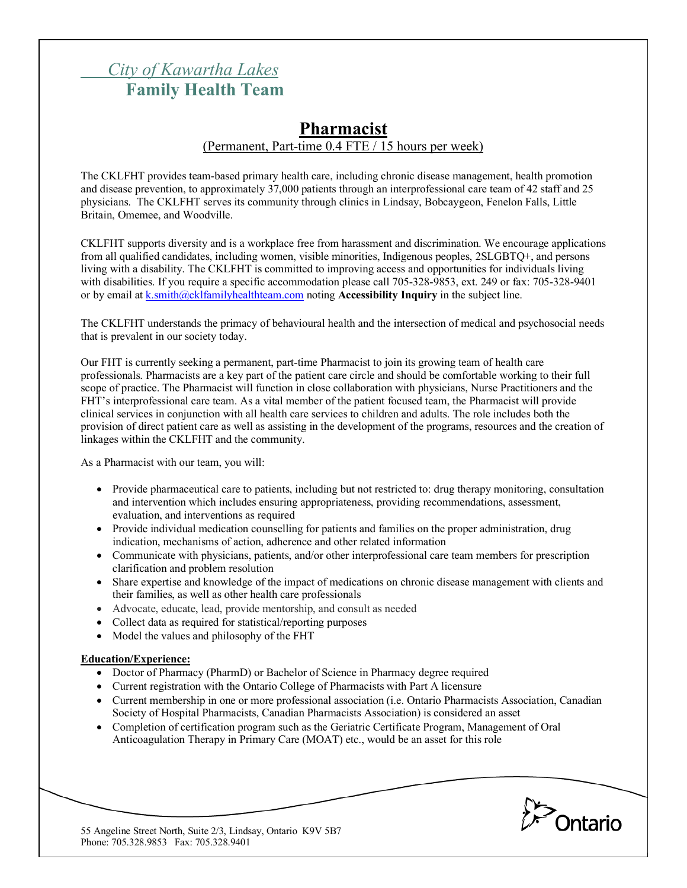# *City of Kawartha Lakes* **Family Health Team**

# **Pharmacist** (Permanent, Part-time 0.4 FTE / 15 hours per week)

The CKLFHT provides team-based primary health care, including chronic disease management, health promotion and disease prevention, to approximately 37,000 patients through an interprofessional care team of 42 staff and 25 physicians. The CKLFHT serves its community through clinics in Lindsay, Bobcaygeon, Fenelon Falls, Little Britain, Omemee, and Woodville.

CKLFHT supports diversity and is a workplace free from harassment and discrimination. We encourage applications from all qualified candidates, including women, visible minorities, Indigenous peoples, 2SLGBTQ+, and persons living with a disability. The CKLFHT is committed to improving access and opportunities for individuals living with disabilities. If you require a specific accommodation please call 705-328-9853, ext. 249 or fax: 705-328-9401 or by email at k.smith@cklfamilyhealthteam.com noting **Accessibility Inquiry** in the subject line.

The CKLFHT understands the primacy of behavioural health and the intersection of medical and psychosocial needs that is prevalent in our society today.

Our FHT is currently seeking a permanent, part-time Pharmacist to join its growing team of health care professionals. Pharmacists are a key part of the patient care circle and should be comfortable working to their full scope of practice. The Pharmacist will function in close collaboration with physicians, Nurse Practitioners and the FHT's interprofessional care team. As a vital member of the patient focused team, the Pharmacist will provide clinical services in conjunction with all health care services to children and adults. The role includes both the provision of direct patient care as well as assisting in the development of the programs, resources and the creation of linkages within the CKLFHT and the community.

As a Pharmacist with our team, you will:

- Provide pharmaceutical care to patients, including but not restricted to: drug therapy monitoring, consultation and intervention which includes ensuring appropriateness, providing recommendations, assessment, evaluation, and interventions as required
- Provide individual medication counselling for patients and families on the proper administration, drug indication, mechanisms of action, adherence and other related information
- Communicate with physicians, patients, and/or other interprofessional care team members for prescription clarification and problem resolution
- Share expertise and knowledge of the impact of medications on chronic disease management with clients and their families, as well as other health care professionals
- Advocate, educate, lead, provide mentorship, and consult as needed
- Collect data as required for statistical/reporting purposes
- Model the values and philosophy of the FHT

#### **Education/Experience:**

- Doctor of Pharmacy (PharmD) or Bachelor of Science in Pharmacy degree required
- Current registration with the Ontario College of Pharmacists with Part A licensure
- Current membership in one or more professional association (i.e. Ontario Pharmacists Association, Canadian Society of Hospital Pharmacists, Canadian Pharmacists Association) is considered an asset
- Completion of certification program such as the Geriatric Certificate Program, Management of Oral Anticoagulation Therapy in Primary Care (MOAT) etc., would be an asset for this role

*Pontario* 

55 Angeline Street North, Suite 2/3, Lindsay, Ontario K9V 5B7 Phone: 705.328.9853 Fax: 705.328.9401